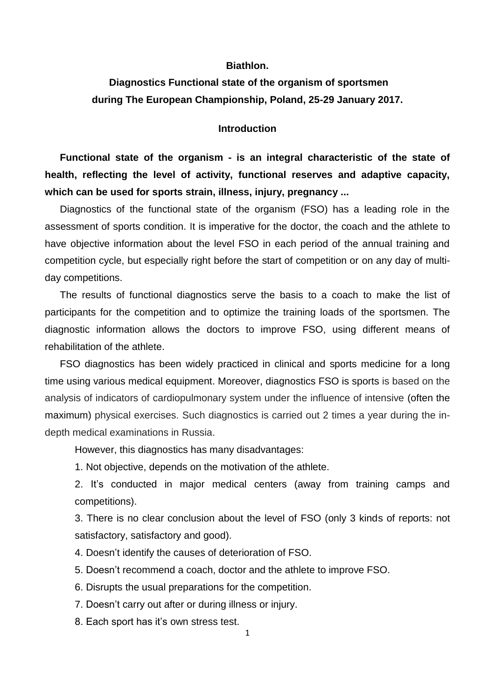#### **Biathlon.**

# **Diagnostics Functional state of the organism of sportsmen during The European Championship, Poland, 25-29 January 2017.**

#### **Introduction**

**Functional state of the organism - is an integral characteristic of the state of health, reflecting the level of activity, functional reserves and adaptive capacity, which can be used for sports strain, illness, injury, pregnancy ...**

Diagnostics of the functional state of the organism (FSO) has a leading role in the assessment of sports condition. It is imperative for the doctor, the coach and the athlete to have objective information about the level FSO in each period of the annual training and competition cycle, but especially right before the start of competition or on any day of multiday competitions.

The results of functional diagnostics serve the basis to a coach to make the list of participants for the competition and to optimize the training loads of the sportsmen. The diagnostic information allows the doctors to improve FSO, using different means of rehabilitation of the athlete.

FSO diagnostics has been widely practiced in clinical and sports medicine for a long time using various medical equipment. Moreover, diagnostics FSO is sports is based on the analysis of indicators of cardiopulmonary system under the influence of intensive (often the maximum) physical exercises. Such diagnostics is carried out 2 times a year during the indepth medical examinations in Russia.

However, this diagnostics has many disadvantages:

1. Not objective, depends on the motivation of the athlete.

2. It's conducted in major medical centers (away from training camps and competitions).

3. There is no clear conclusion about the level of FSO (only 3 kinds of reports: not satisfactory, satisfactory and good).

4. Doesn't identify the causes of deterioration of FSO.

5. Doesn't recommend a coach, doctor and the athlete to improve FSO.

6. Disrupts the usual preparations for the competition.

7. Doesn't carry out after or during illness or injury.

8. Each sport has it's own stress test.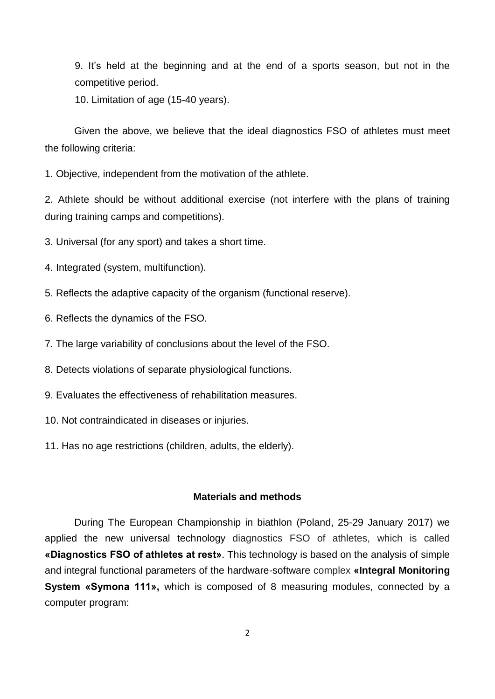9. It's held at the beginning and at the end of a sports season, but not in the competitive period.

10. Limitation of age (15-40 years).

Given the above, we believe that the ideal diagnostics FSO of athletes must meet the following criteria:

1. Objective, independent from the motivation of the athlete.

2. Athlete should be without additional exercise (not interfere with the plans of training during training camps and competitions).

3. Universal (for any sport) and takes a short time.

- 4. Integrated (system, multifunction).
- 5. Reflects the adaptive capacity of the organism (functional reserve).
- 6. Reflects the dynamics of the FSO.
- 7. The large variability of conclusions about the level of the FSO.
- 8. Detects violations of separate physiological functions.
- 9. Evaluates the effectiveness of rehabilitation measures.
- 10. Not contraindicated in diseases or injuries.
- 11. Has no age restrictions (children, adults, the elderly).

## **Materials and methods**

During The European Championship in biathlon (Poland, 25-29 January 2017) we applied the new universal technology diagnostics FSO of athletes, which is called **«Diagnostics FSO of athletes at rest»**. This technology is based on the analysis of simple and integral functional parameters of the hardware-software complex **«Integral Monitoring System «Symona 111»,** which is composed of 8 measuring modules, connected by a computer program: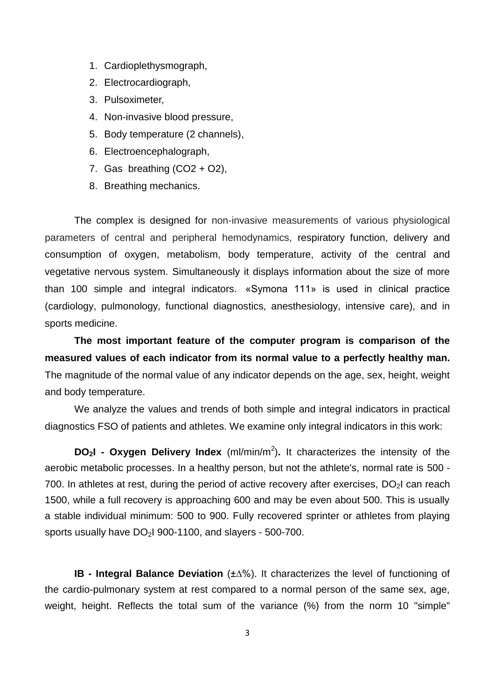- 1. Cardioplethysmograph,
- 2. Electrocardiograph,
- 3. Pulsoximeter,
- 4. Non-invasive blood pressure,
- 5. Body temperature (2 channels),
- 6. Electroencephalograph,
- 7. Gas breathing  $(CO2 + O2)$ ,
- 8. Breathing mechanics.

The complex is designed for non-invasive measurements of various physiological parameters of central and peripheral hemodynamics, respiratory function, delivery and consumption of oxygen, metabolism, body temperature, activity of the central and vegetative nervous system. Simultaneously it displays information about the size of more than 100 simple and integral indicators. «Symona 111» is used in clinical practice (cardiology, pulmonology, functional diagnostics, anesthesiology, intensive care), and in sports medicine.

**The most important feature of the computer program is comparison of the measured values of each indicator from its normal value to a perfectly healthy man.** The magnitude of the normal value of any indicator depends on the age, sex, height, weight and body temperature.

We analyze the values and trends of both simple and integral indicators in practical diagnostics FSO of patients and athletes. We examine only integral indicators in this work:

**DO<sub>2</sub>I - Oxygen Delivery Index** (ml/min/m<sup>2</sup>). It characterizes the intensity of the aerobic metabolic processes. In a healthy person, but not the athlete's, normal rate is 500 - 700. In athletes at rest, during the period of active recovery after exercises,  $DO<sub>2</sub>$ I can reach 1500, while a full recovery is approaching 600 and may be even about 500. This is usually a stable individual minimum: 500 to 900. Fully recovered sprinter or athletes from playing sports usually have  $DO<sub>2</sub>1$  900-1100, and slayers - 500-700.

**IB - Integral Balance Deviation** (±∆%). It characterizes the level of functioning of the cardio-pulmonary system at rest compared to a normal person of the same sex, age, weight, height. Reflects the total sum of the variance (%) from the norm 10 "simple"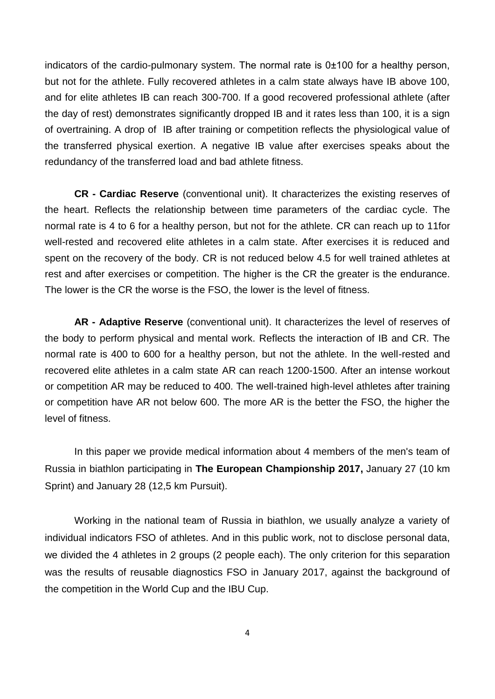indicators of the cardio-pulmonary system. The normal rate is 0±100 for a healthy person, but not for the athlete. Fully recovered athletes in a calm state always have IB above 100, and for elite athletes IB can reach 300-700. If a good recovered professional athlete (after the day of rest) demonstrates significantly dropped IB and it rates less than 100, it is a sign of overtraining. A drop of IB after training or competition reflects the physiological value of the transferred physical exertion. A negative IB value after exercises speaks about the redundancy of the transferred load and bad athlete fitness.

**CR - Cardiac Reserve** (conventional unit). It characterizes the existing reserves of the heart. Reflects the relationship between time parameters of the cardiac cycle. The normal rate is 4 to 6 for a healthy person, but not for the athlete. CR can reach up to 11for well-rested and recovered elite athletes in a calm state. After exercises it is reduced and spent on the recovery of the body. CR is not reduced below 4.5 for well trained athletes at rest and after exercises or competition. The higher is the CR the greater is the endurance. The lower is the CR the worse is the FSO, the lower is the level of fitness.

**AR - Adaptive Reserve** (conventional unit). It characterizes the level of reserves of the body to perform physical and mental work. Reflects the interaction of IB and CR. The normal rate is 400 to 600 for a healthy person, but not the athlete. In the well-rested and recovered elite athletes in a calm state AR can reach 1200-1500. After an intense workout or competition AR may be reduced to 400. The well-trained high-level athletes after training or competition have AR not below 600. The more AR is the better the FSO, the higher the level of fitness.

In this paper we provide medical information about 4 members of the men's team of Russia in biathlon participating in **The European Championship 2017,** January 27 (10 km Sprint) and January 28 (12,5 km Pursuit).

Working in the national team of Russia in biathlon, we usually analyze a variety of individual indicators FSO of athletes. And in this public work, not to disclose personal data, we divided the 4 athletes in 2 groups (2 people each). The only criterion for this separation was the results of reusable diagnostics FSO in January 2017, against the background of the competition in the World Cup and the IBU Cup.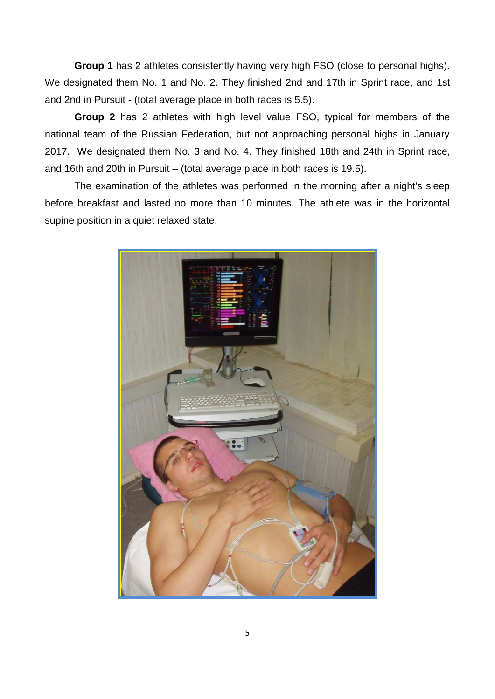**Group 1** has 2 athletes consistently having very high FSO (close to personal highs). We designated them No. 1 and No. 2. They finished 2nd and 17th in Sprint race, and 1st and 2nd in Pursuit - (total average place in both races is 5.5).

**Group 2** has 2 athletes with high level value FSO, typical for members of the national team of the Russian Federation, but not approaching personal highs in January 2017. We designated them No. 3 and No. 4. They finished 18th and 24th in Sprint race, and 16th and 20th in Pursuit – (total average place in both races is 19.5).

The examination of the athletes was performed in the morning after a night's sleep before breakfast and lasted no more than 10 minutes. The athlete was in the horizontal supine position in a quiet relaxed state.

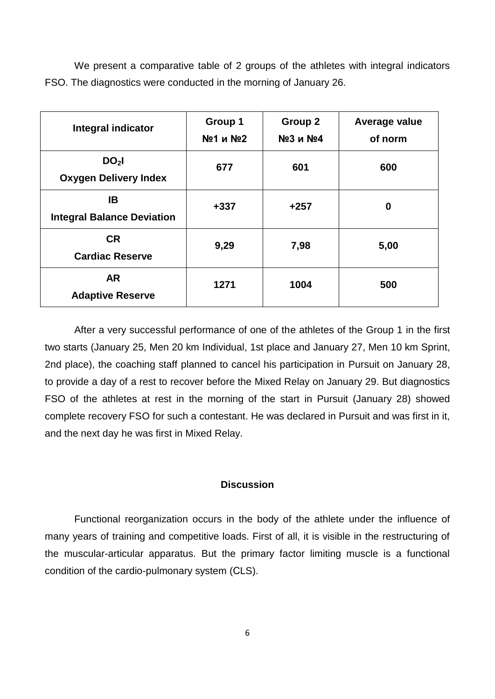We present a comparative table of 2 groups of the athletes with integral indicators FSO. The diagnostics were conducted in the morning of January 26.

| <b>Integral indicator</b>                       | Group 1<br>№1 и №2 | Group 2<br>№3 и №4 | Average value<br>of norm |
|-------------------------------------------------|--------------------|--------------------|--------------------------|
| DO <sub>2</sub><br><b>Oxygen Delivery Index</b> | 677                | 601                | 600                      |
| IB<br><b>Integral Balance Deviation</b>         | $+337$             | $+257$             | 0                        |
| <b>CR</b><br><b>Cardiac Reserve</b>             | 9,29               | 7,98               | 5,00                     |
| <b>AR</b><br><b>Adaptive Reserve</b>            | 1271               | 1004               | 500                      |

After a very successful performance of one of the athletes of the Group 1 in the first two starts (January 25, Men 20 km Individual, 1st place and January 27, Men 10 km Sprint, 2nd place), the coaching staff planned to cancel his participation in Pursuit on January 28, to provide a day of a rest to recover before the Mixed Relay on January 29. But diagnostics FSO of the athletes at rest in the morning of the start in Pursuit (January 28) showed complete recovery FSO for such a contestant. He was declared in Pursuit and was first in it, and the next day he was first in Mixed Relay.

### **Discussion**

Functional reorganization occurs in the body of the athlete under the influence of many years of training and competitive loads. First of all, it is visible in the restructuring of the muscular-articular apparatus. But the primary factor limiting muscle is a functional condition of the cardio-pulmonary system (СLS).

6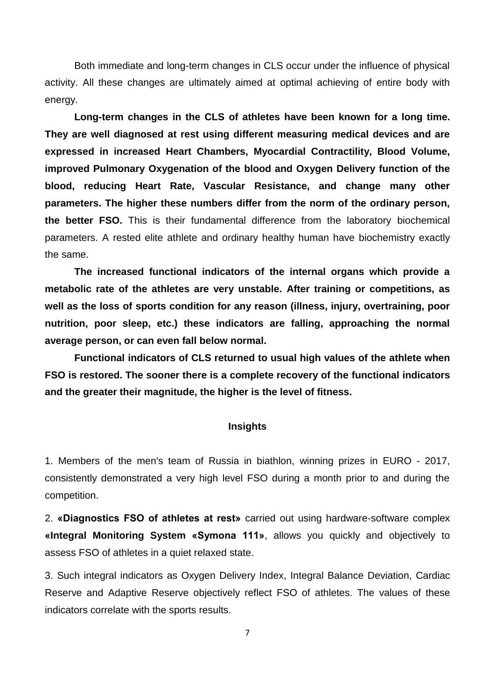Both immediate and long-term changes in CLS occur under the influence of physical activity. All these changes are ultimately aimed at optimal achieving of entire body with energy.

**Long-term changes in the CLS of athletes have been known for a long time. They are well diagnosed at rest using different measuring medical devices and are expressed in increased Heart Chambers, Myocardial Contractility, Blood Volume, improved Pulmonary Oxygenation of the blood and Oxygen Delivery function of the blood, reducing Heart Rate, Vascular Resistance, and change many other parameters. The higher these numbers differ from the norm of the ordinary person, the better FSO.** This is their fundamental difference from the laboratory biochemical parameters. A rested elite athlete and ordinary healthy human have biochemistry exactly the same.

**The increased functional indicators of the internal organs which provide a metabolic rate of the athletes are very unstable. After training or competitions, as well as the loss of sports condition for any reason (illness, injury, overtraining, poor nutrition, poor sleep, etc.) these indicators are falling, approaching the normal average person, or can even fall below normal.**

**Functional indicators of CLS returned to usual high values of the athlete when FSO is restored. The sooner there is a complete recovery of the functional indicators and the greater their magnitude, the higher is the level of fitness.**

### **Insights**

1. Members of the men's team of Russia in biathlon, winning prizes in EURO - 2017, consistently demonstrated a very high level FSO during a month prior to and during the competition.

2. **«Diagnostics FSO of athletes at rest»** carried out using hardware-software complex **«Integral Monitoring System «Symona 111»**, allows you quickly and objectively to assess FSO of athletes in a quiet relaxed state.

3. Such integral indicators as Oxygen Delivery Index, Integral Balance Deviation, Cardiac Reserve and Adaptive Reserve objectively reflect FSO of athletes. The values of these indicators correlate with the sports results.

7